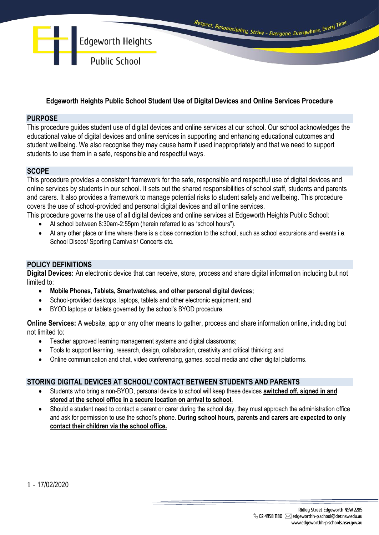

# **Edgeworth Heights Public School Student Use of Digital Devices and Online Services Procedure**

### **PURPOSE**

This procedure guides student use of digital devices and online services at our school. Our school acknowledges the educational value of digital devices and online services in supporting and enhancing educational outcomes and student wellbeing. We also recognise they may cause harm if used inappropriately and that we need to support students to use them in a safe, responsible and respectful ways.

# **SCOPE**

This procedure provides a consistent framework for the safe, responsible and respectful use of digital devices and online services by students in our school. It sets out the shared responsibilities of school staff, students and parents and carers. It also provides a framework to manage potential risks to student safety and wellbeing. This procedure covers the use of school-provided and personal digital devices and all online services.

This procedure governs the use of all digital devices and online services at Edgeworth Heights Public School:

- At school between 8:30am-2:55pm (herein referred to as "school hours").
- At any other place or time where there is a close connection to the school, such as school excursions and events i.e. School Discos/ Sporting Carnivals/ Concerts etc.

## **POLICY DEFINITIONS**

**Digital Devices:** An electronic device that can receive, store, process and share digital information including but not limited to:

- **Mobile Phones, Tablets, Smartwatches, and other personal digital devices;**
- School-provided desktops, laptops, tablets and other electronic equipment; and
- BYOD laptops or tablets governed by the school's BYOD procedure.

**Online Services:** A website, app or any other means to gather, process and share information online, including but not limited to:

- Teacher approved learning management systems and digital classrooms;
- Tools to support learning, research, design, collaboration, creativity and critical thinking; and
- Online communication and chat, video conferencing, games, social media and other digital platforms.

### **STORING DIGITAL DEVICES AT SCHOOL/ CONTACT BETWEEN STUDENTS AND PARENTS**

- Students who bring a non-BYOD, personal device to school will keep these devices **switched off, signed in and stored at the school office in a secure location on arrival to school.**
- Should a student need to contact a parent or carer during the school day, they must approach the administration office and ask for permission to use the school's phone. **During school hours, parents and carers are expected to only contact their children via the school office.**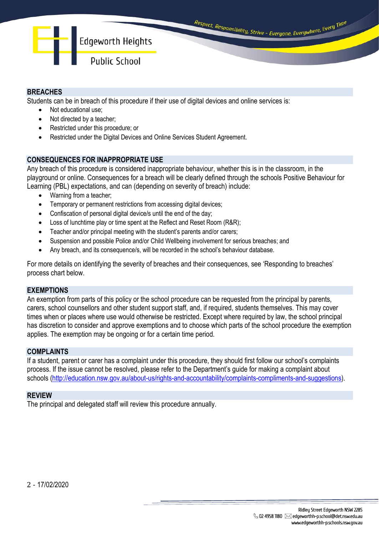

## **BREACHES**

Students can be in breach of this procedure if their use of digital devices and online services is:

- Not educational use;
- Not directed by a teacher:
- Restricted under this procedure; or
- Restricted under the Digital Devices and Online Services Student Agreement.

## **CONSEQUENCES FOR INAPPROPRIATE USE**

Any breach of this procedure is considered inappropriate behaviour, whether this is in the classroom, in the playground or online. Consequences for a breach will be clearly defined through the schools Positive Behaviour for Learning (PBL) expectations, and can (depending on severity of breach) include:

- Warning from a teacher;
- Temporary or permanent restrictions from accessing digital devices;
- Confiscation of personal digital device/s until the end of the day;
- Loss of lunchtime play or time spent at the Reflect and Reset Room (R&R);
- Teacher and/or principal meeting with the student's parents and/or carers;
- Suspension and possible Police and/or Child Wellbeing involvement for serious breaches; and
- Any breach, and its consequence/s, will be recorded in the school's behaviour database.

For more details on identifying the severity of breaches and their consequences, see 'Responding to breaches' process chart below.

### **EXEMPTIONS**

An exemption from parts of this policy or the school procedure can be requested from the principal by parents, carers, school counsellors and other student support staff, and, if required, students themselves. This may cover times when or places where use would otherwise be restricted. Except where required by law, the school principal has discretion to consider and approve exemptions and to choose which parts of the school procedure the exemption applies. The exemption may be ongoing or for a certain time period.

### **COMPLAINTS**

If a student, parent or carer has a complaint under this procedure, they should first follow our school's complaints process. If the issue cannot be resolved, please refer to the Department's guide for making a complaint about schools [\(http://education.nsw.gov.au/about-us/rights-and-accountability/complaints-compliments-and-suggestions\)](http://education.nsw.gov.au/about-us/rights-and-accountability/complaints-compliments-and-suggestions).

### **REVIEW**

The principal and delegated staff will review this procedure annually.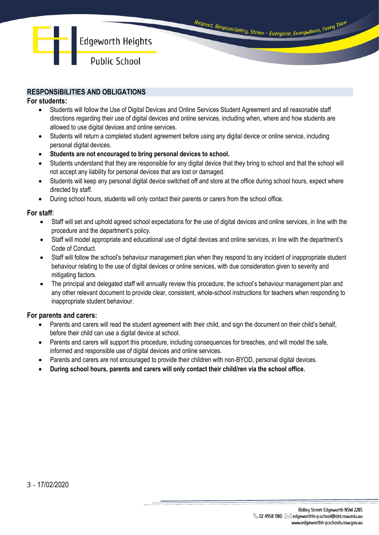# **RESPONSIBILITIES AND OBLIGATIONS**

#### **For students:**

- Students will follow the Use of Digital Devices and Online Services Student Agreement and all reasonable staff directions regarding their use of digital devices and online services, including when, where and how students are allowed to use digital devices and online services.
- Students will return a completed student agreement before using any digital device or online service, including personal digital devices.
- **Students are not encouraged to bring personal devices to school.**
- Students understand that they are responsible for any digital device that they bring to school and that the school will not accept any liability for personal devices that are lost or damaged.
- Students will keep any personal digital device switched off and store at the office during school hours, expect where directed by staff.
- During school hours, students will only contact their parents or carers from the school office.

#### **For staff**:

- Staff will set and uphold agreed school expectations for the use of digital devices and online services, in line with the procedure and the department's policy.
- Staff will model appropriate and educational use of digital devices and online services, in line with the department's Code of Conduct.
- Staff will follow the school's behaviour management plan when they respond to any incident of inappropriate student behaviour relating to the use of digital devices or online services, with due consideration given to severity and mitigating factors.
- The principal and delegated staff will annually review this procedure, the school's behaviour management plan and any other relevant document to provide clear, consistent, whole-school instructions for teachers when responding to inappropriate student behaviour.

### **For parents and carers:**

- Parents and carers will read the student agreement with their child, and sign the document on their child's behalf, before their child can use a digital device at school.
- Parents and carers will support this procedure, including consequences for breaches, and will model the safe, informed and responsible use of digital devices and online services.
- Parents and carers are not encouraged to provide their children with non-BYOD, personal digital devices.
- **During school hours, parents and carers will only contact their child/ren via the school office.**